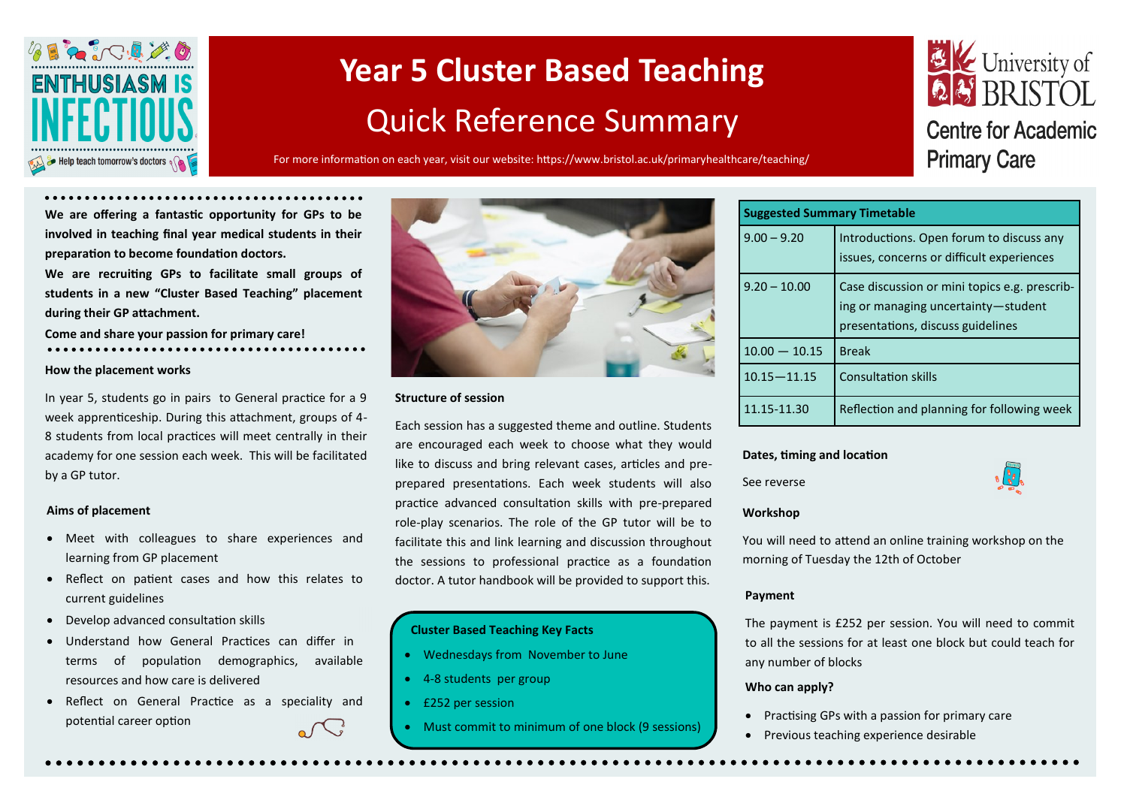

# **Year 5 Cluster Based Teaching**  Quick Reference Summary

For more information on each year, visit our website: https://www.bristol.ac.uk/primaryhealthcare/teaching/

## E Ve University of **Centre for Academic Primary Care**

**We are offering a fantastic opportunity for GPs to be involved in teaching final year medical students in their preparation to become foundation doctors.** 

**We are recruiting GPs to facilitate small groups of students in a new "Cluster Based Teaching" placement during their GP attachment.**

**Come and share your passion for primary care!**

#### **How the placement works**

In year 5, students go in pairs to General practice for a 9 week apprenticeship. During this attachment, groups of 4- 8 students from local practices will meet centrally in their academy for one session each week. This will be facilitated by a GP tutor.

#### **Aims of placement**

- Meet with colleagues to share experiences and learning from GP placement
- Reflect on patient cases and how this relates to current guidelines
- Develop advanced consultation skills
- Understand how General Practices can differ in terms of population demographics, available resources and how care is delivered
- Reflect on General Practice as a speciality and potential career option



#### **Structure of session**

Each session has a suggested theme and outline. Students are encouraged each week to choose what they would like to discuss and bring relevant cases, articles and preprepared presentations. Each week students will also practice advanced consultation skills with pre-prepared role-play scenarios. The role of the GP tutor will be to facilitate this and link learning and discussion throughout the sessions to professional practice as a foundation doctor. A tutor handbook will be provided to support this.

#### **Cluster Based Teaching Key Facts**

- Wednesdays from November to June
- 4-8 students per group
- £252 per session
- Must commit to minimum of one block (9 sessions)

| <b>Suggested Summary Timetable</b> |                                                                                                                           |  |  |  |
|------------------------------------|---------------------------------------------------------------------------------------------------------------------------|--|--|--|
| $9.00 - 9.20$                      | Introductions. Open forum to discuss any<br>issues, concerns or difficult experiences                                     |  |  |  |
| $9.20 - 10.00$                     | Case discussion or mini topics e.g. prescrib-<br>ing or managing uncertainty-student<br>presentations, discuss guidelines |  |  |  |
| $10.00 - 10.15$                    | <b>Break</b>                                                                                                              |  |  |  |
| $10.15 - 11.15$                    | <b>Consultation skills</b>                                                                                                |  |  |  |
| 11.15-11.30                        | Reflection and planning for following week                                                                                |  |  |  |

#### **Dates, timing and location**

See reverse



#### **Workshop**

You will need to attend an online training workshop on the morning of Tuesday the 12th of October

#### **Payment**

The payment is £252 per session. You will need to commit to all the sessions for at least one block but could teach for any number of blocks

#### **Who can apply?**

- Practising GPs with a passion for primary care
- Previous teaching experience desirable